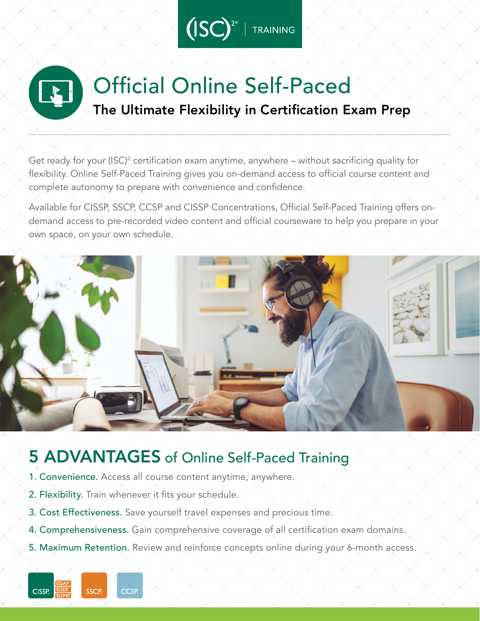

# Official Online Self-Paced The Ultimate Flexibility in Certification Exam Prep

Get ready for your (ISC)<sup>2</sup> certification exam anytime, anywhere – without sacrificing quality for flexibility. Online Self-Paced Training gives you on-demand access to official course content and complete autonomy to prepare with convenience and confidence.

Available for CISSP, SSCP, CCSP and CISSP Concentrations, Official Self-Paced Training offers ondemand access to pre-recorded video content and official courseware to help you prepare in your own space, on your own schedule.



## 5 ADVANTAGES of Online Self-Paced Training

- 1. Convenience. Access all course content anytime, anywhere.
- 2. Flexibility. Train whenever it fits your schedule.

**CCSP** 

**CISSP** 

SSCP

- 3. Cost Effectiveness. Save yourself travel expenses and precious time.
- 4. Comprehensiveness. Gain comprehensive coverage of all certification exam domains.
- 5. Maximum Retention. Review and reinforce concepts online during your 6-month access.